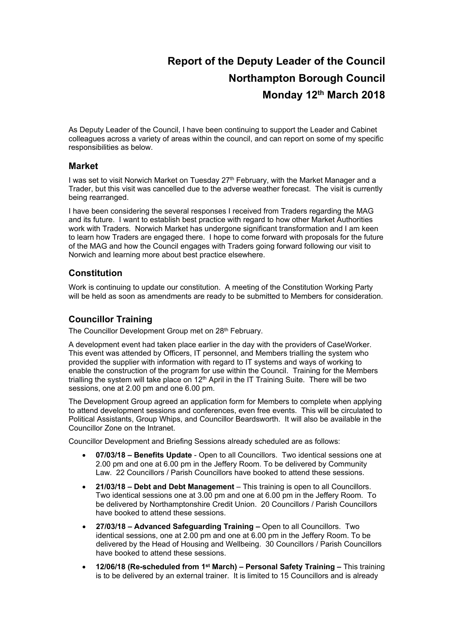# **Report of the Deputy Leader of the Council Northampton Borough Council Monday 12th March 2018**

As Deputy Leader of the Council, I have been continuing to support the Leader and Cabinet colleagues across a variety of areas within the council, and can report on some of my specific responsibilities as below.

#### **Market**

I was set to visit Norwich Market on Tuesday 27<sup>th</sup> February, with the Market Manager and a Trader, but this visit was cancelled due to the adverse weather forecast. The visit is currently being rearranged.

I have been considering the several responses I received from Traders regarding the MAG and its future. I want to establish best practice with regard to how other Market Authorities work with Traders. Norwich Market has undergone significant transformation and I am keen to learn how Traders are engaged there. I hope to come forward with proposals for the future of the MAG and how the Council engages with Traders going forward following our visit to Norwich and learning more about best practice elsewhere.

#### **Constitution**

Work is continuing to update our constitution. A meeting of the Constitution Working Party will be held as soon as amendments are ready to be submitted to Members for consideration.

#### **Councillor Training**

The Councillor Development Group met on 28th February.

A development event had taken place earlier in the day with the providers of CaseWorker. This event was attended by Officers, IT personnel, and Members trialling the system who provided the supplier with information with regard to IT systems and ways of working to enable the construction of the program for use within the Council. Training for the Members trialling the system will take place on 12<sup>th</sup> April in the IT Training Suite. There will be two sessions, one at 2.00 pm and one 6.00 pm.

The Development Group agreed an application form for Members to complete when applying to attend development sessions and conferences, even free events. This will be circulated to Political Assistants, Group Whips, and Councillor Beardsworth. It will also be available in the Councillor Zone on the Intranet.

Councillor Development and Briefing Sessions already scheduled are as follows:

- **07/03/18 – Benefits Update** Open to all Councillors. Two identical sessions one at 2.00 pm and one at 6.00 pm in the Jeffery Room. To be delivered by Community Law. 22 Councillors / Parish Councillors have booked to attend these sessions.
- **21/03/18 – Debt and Debt Management** This training is open to all Councillors. Two identical sessions one at 3.00 pm and one at 6.00 pm in the Jeffery Room. To be delivered by Northamptonshire Credit Union. 20 Councillors / Parish Councillors have booked to attend these sessions.
- **27/03/18 – Advanced Safeguarding Training –** Open to all Councillors. Two identical sessions, one at 2.00 pm and one at 6.00 pm in the Jeffery Room. To be delivered by the Head of Housing and Wellbeing. 30 Councillors / Parish Councillors have booked to attend these sessions.
- **12/06/18 (Re-scheduled from 1 st March) – Personal Safety Training –** This training is to be delivered by an external trainer. It is limited to 15 Councillors and is already